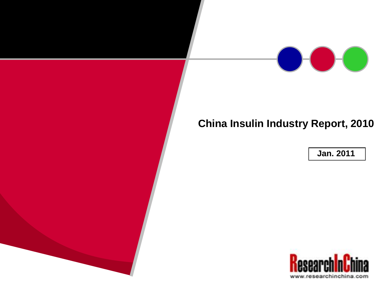

# **China Insulin Industry Report, 2010**

**Jan. 2011**

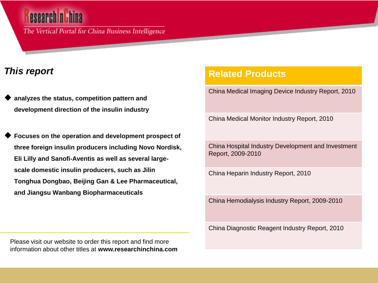The Vertical Portal for China Business Intelligence

## *This report*

 **analyzes the status, competition pattern and development direction of the insulin industry** 

 **Focuses on the operation and development prospect of three foreign insulin producers including Novo Nordisk, Eli Lilly and Sanofi-Aventis as well as several largescale domestic insulin producers, such as Jilin Tonghua Dongbao, Beijing Gan & Lee Pharmaceutical, and Jiangsu Wanbang Biopharmaceuticals** 

**Related Products**

China Medical Imaging Device Industry Report, 2010

China Medical Monitor Industry Report, 2010

China Hospital Industry Development and Investment Report, 2009-2010

China Heparin Industry Report, 2010

China Hemodialysis Industry Report, 2009-2010

China Diagnostic Reagent Industry Report, 2010

Please visit our website to order this report and find more information about other titles at **www.researchinchina.com**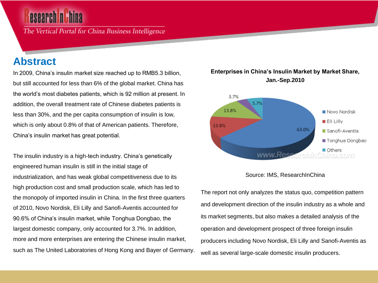The Vertical Portal for China Business Intelligence

## **Abstract**

In 2009, China's insulin market size reached up to RMB5.3 billion, but still accounted for less than 6% of the global market. China has the world's most diabetes patients, which is 92 million at present. In addition, the overall treatment rate of Chinese diabetes patients is less than 30%, and the per capita consumption of insulin is low, which is only about 0.8% of that of American patients. Therefore, China's insulin market has great potential.

The insulin industry is a high-tech industry. China's genetically engineered human insulin is still in the initial stage of industrialization, and has weak global competitiveness due to its high production cost and small production scale, which has led to the monopoly of imported insulin in China. In the first three quarters of 2010, Novo Nordisk, Eli Lilly and Sanofi-Aventis accounted for 90.6% of China's insulin market, while Tonghua Dongbao, the largest domestic company, only accounted for 3.7%. In addition, more and more enterprises are entering the Chinese insulin market, such as The United Laboratories of Hong Kong and Bayer of Germany.

#### **Enterprises in China's Insulin Market by Market Share, Jan.-Sep.2010**





The report not only analyzes the status quo, competition pattern and development direction of the insulin industry as a whole and its market segments, but also makes a detailed analysis of the operation and development prospect of three foreign insulin producers including Novo Nordisk, Eli Lilly and Sanofi-Aventis as well as several large-scale domestic insulin producers.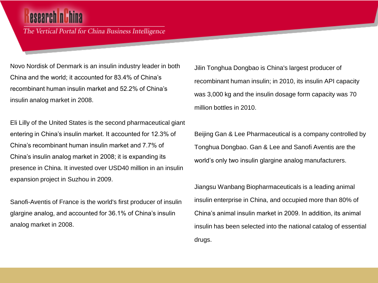The Vertical Portal for China Business Intelligence

Novo Nordisk of Denmark is an insulin industry leader in both China and the world; it accounted for 83.4% of China's recombinant human insulin market and 52.2% of China's insulin analog market in 2008.

Eli Lilly of the United States is the second pharmaceutical giant entering in China's insulin market. It accounted for 12.3% of China's recombinant human insulin market and 7.7% of China's insulin analog market in 2008; it is expanding its presence in China. It invested over USD40 million in an insulin expansion project in Suzhou in 2009.

Sanofi-Aventis of France is the world's first producer of insulin glargine analog, and accounted for 36.1% of China's insulin analog market in 2008.

Jilin Tonghua Dongbao is China's largest producer of recombinant human insulin; in 2010, its insulin API capacity was 3,000 kg and the insulin dosage form capacity was 70 million bottles in 2010.

Beijing Gan & Lee Pharmaceutical is a company controlled by Tonghua Dongbao. Gan & Lee and Sanofi Aventis are the world's only two insulin glargine analog manufacturers.

Jiangsu Wanbang Biopharmaceuticals is a leading animal insulin enterprise in China, and occupied more than 80% of China's animal insulin market in 2009. In addition, its animal insulin has been selected into the national catalog of essential drugs.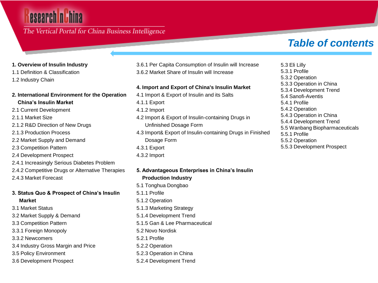# esearch n h

### The Vertical Portal for China Business Intelligence

# *Table of contents*

#### **1. Overview of Insulin Industry**

- 1.1 Definition & Classification
- 1.2 Industry Chain

#### **2. International Environment for the Operation China's Insulin Market**

- 2.1 Current Development
- 2.1.1 Market Size
- 2.1.2 R&D Direction of New Drugs
- 2.1.3 Production Process
- 2.2 Market Supply and Demand
- 2.3 Competition Pattern
- 2.4 Development Prospect
- 2.4.1 Increasingly Serious Diabetes Problem
- 2.4.2 Competitive Drugs or Alternative Therapies
- 2.4.3 Market Forecast

#### **3. Status Quo & Prospect of China's Insulin Market**

- 3.1 Market Status
- 3.2 Market Supply & Demand
- 3.3 Competition Pattern
- 3.3.1 Foreign Monopoly
- 3.3.2 Newcomers
- 3.4 Industry Gross Margin and Price
- 3.5 Policy Environment
- 3.6 Development Prospect

3.6.1 Per Capita Consumption of Insulin will Increase 3.6.2 Market Share of Insulin will Increase

#### **4. Import and Export of China's Insulin Market**

- 4.1 Import & Export of Insulin and its Salts
- 4.1.1 Export
- 4.1.2 Import
- 4.2 Import & Export of Insulin-containing Drugs in Unfinished Dosage Form
- 4.3 Import& Export of Insulin-containing Drugs in Finished Dosage Form
- 4.3.1 Export
- 4.3.2 Import

### **5. Advantageous Enterprises in China's Insulin Production Industry**  5.1 Tonghua Dongbao

- 5.1.1 Profile
- 5.1.2 Operation
- 5.1.3 Marketing Strategy
- 5.1.4 Development Trend
- 5.1.5 Gan & Lee Pharmaceutical
- 5.2 Novo Nordisk
- 5.2.1 Profile
- 5.2.2 Operation
- 5.2.3 Operation in China
- 5.2.4 Development Trend

5.3 Eli Lilly 5.3.1 Profile 5.3.2 Operation 5.3.3 Operation in China 5.3.4 Development Trend 5.4 Sanofi-Aventis 5.4.1 Profile 5.4.2 Operation 5.4.3 Operation in China 5.4.4 Development Trend 5.5 Wanbang Biopharmaceuticals 5.5.1 Profile 5.5.2 Operation 5.5.3 Development Prospect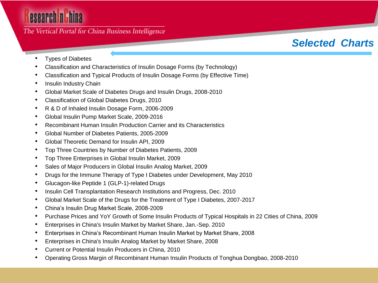# esearch nuhina

The Vertical Portal for China Business Intelligence

# *Selected Charts*

- Types of Diabetes
- Classification and Characteristics of Insulin Dosage Forms (by Technology)
- Classification and Typical Products of Insulin Dosage Forms (by Effective Time)
- Insulin Industry Chain
- Global Market Scale of Diabetes Drugs and Insulin Drugs, 2008-2010
- Classification of Global Diabetes Drugs, 2010
- R & D of Inhaled Insulin Dosage Form, 2006-2009
- Global Insulin Pump Market Scale, 2009-2016
- Recombinant Human Insulin Production Carrier and its Characteristics
- Global Number of Diabetes Patients, 2005-2009
- Global Theoretic Demand for Insulin API, 2009
- Top Three Countries by Number of Diabetes Patients, 2009
- Top Three Enterprises in Global Insulin Market, 2009
- Sales of Major Producers in Global Insulin Analog Market, 2009
- Drugs for the Immune Therapy of Type I Diabetes under Development, May 2010
- Glucagon-like Peptide 1 (GLP-1)-related Drugs
- Insulin Cell Transplantation Research Institutions and Progress, Dec. 2010
- Global Market Scale of the Drugs for the Treatment of Type I Diabetes, 2007-2017
- China's Insulin Drug Market Scale, 2008-2009
- Purchase Prices and YoY Growth of Some Insulin Products of Typical Hospitals in 22 Cities of China, 2009
- Enterprises in China's Insulin Market by Market Share, Jan.-Sep. 2010
- Enterprises in China's Recombinant Human Insulin Market by Market Share, 2008
- Enterprises in China's Insulin Analog Market by Market Share, 2008
- Current or Potential Insulin Producers in China, 2010
- Operating Gross Margin of Recombinant Human Insulin Products of Tonghua Dongbao, 2008-2010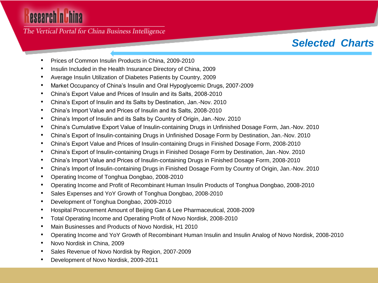# esearch nuhina

The Vertical Portal for China Business Intelligence

# *Selected Charts*

- Prices of Common Insulin Products in China, 2009-2010
- Insulin Included in the Health Insurance Directory of China, 2009
- Average Insulin Utilization of Diabetes Patients by Country, 2009
- Market Occupancy of China's Insulin and Oral Hypoglycemic Drugs, 2007-2009
- China's Export Value and Prices of Insulin and its Salts, 2008-2010
- China's Export of Insulin and its Salts by Destination, Jan.-Nov. 2010
- China's Import Value and Prices of Insulin and its Salts, 2008-2010
- China's Import of Insulin and its Salts by Country of Origin, Jan.-Nov. 2010
- China's Cumulative Export Value of Insulin-containing Drugs in Unfinished Dosage Form, Jan.-Nov. 2010
- China's Export of Insulin-containing Drugs in Unfinished Dosage Form by Destination, Jan.-Nov. 2010
- China's Export Value and Prices of Insulin-containing Drugs in Finished Dosage Form, 2008-2010
- China's Export of Insulin-containing Drugs in Finished Dosage Form by Destination, Jan.-Nov. 2010
- China's Import Value and Prices of Insulin-containing Drugs in Finished Dosage Form, 2008-2010
- China's Import of Insulin-containing Drugs in Finished Dosage Form by Country of Origin, Jan.-Nov. 2010
- Operating Income of Tonghua Dongbao, 2008-2010
- Operating Income and Profit of Recombinant Human Insulin Products of Tonghua Dongbao, 2008-2010
- Sales Expenses and YoY Growth of Tonghua Dongbao, 2008-2010
- Development of Tonghua Dongbao, 2009-2010
- Hospital Procurement Amount of Beijing Gan & Lee Pharmaceutical, 2008-2009
- Total Operating Income and Operating Profit of Novo Nordisk, 2008-2010
- Main Businesses and Products of Novo Nordisk, H1 2010
- Operating Income and YoY Growth of Recombinant Human Insulin and Insulin Analog of Novo Nordisk, 2008-2010
- Novo Nordisk in China, 2009
- Sales Revenue of Novo Nordisk by Region, 2007-2009
- Development of Novo Nordisk, 2009-2011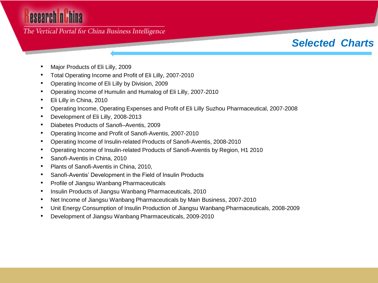# esearch nuhina

#### The Vertical Portal for China Business Intelligence

## *Selected Charts*

- Major Products of Eli Lilly, 2009
- Total Operating Income and Profit of Eli Lilly, 2007-2010
- Operating Income of Eli Lilly by Division, 2009
- Operating Income of Humulin and Humalog of Eli Lilly, 2007-2010
- Eli Lilly in China, 2010
- Operating Income, Operating Expenses and Profit of Eli Lilly Suzhou Pharmaceutical, 2007-2008
- Development of Eli Lilly, 2008-2013
- Diabetes Products of Sanofi–Aventis, 2009
- Operating Income and Profit of Sanofi-Aventis, 2007-2010
- Operating Income of Insulin-related Products of Sanofi-Aventis, 2008-2010
- Operating Income of Insulin-related Products of Sanofi-Aventis by Region, H1 2010
- Sanofi-Aventis in China, 2010
- Plants of Sanofi-Aventis in China, 2010,
- Sanofi-Aventis' Development in the Field of Insulin Products
- Profile of Jiangsu Wanbang Pharmaceuticals
- Insulin Products of Jiangsu Wanbang Pharmaceuticals, 2010
- Net Income of Jiangsu Wanbang Pharmaceuticals by Main Business, 2007-2010
- Unit Energy Consumption of Insulin Production of Jiangsu Wanbang Pharmaceuticals, 2008-2009
- Development of Jiangsu Wanbang Pharmaceuticals, 2009-2010